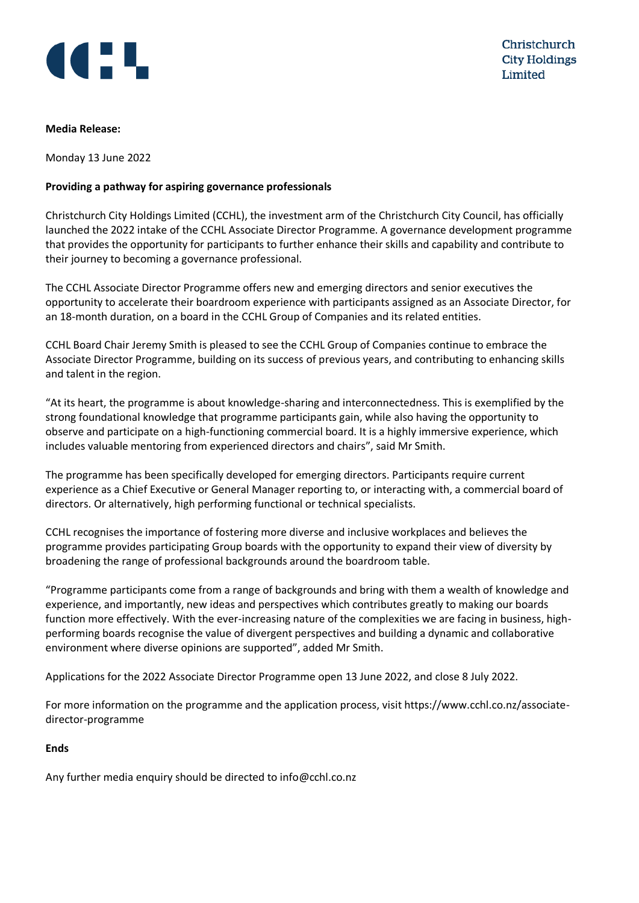

## **Media Release:**

Monday 13 June 2022

## **Providing a pathway for aspiring governance professionals**

Christchurch City Holdings Limited (CCHL), the investment arm of the Christchurch City Council, has officially launched the 2022 intake of the CCHL Associate Director Programme. A governance development programme that provides the opportunity for participants to further enhance their skills and capability and contribute to their journey to becoming a governance professional.

The CCHL Associate Director Programme offers new and emerging directors and senior executives the opportunity to accelerate their boardroom experience with participants assigned as an Associate Director, for an 18-month duration, on a board in the CCHL Group of Companies and its related entities.

CCHL Board Chair Jeremy Smith is pleased to see the CCHL Group of Companies continue to embrace the Associate Director Programme, building on its success of previous years, and contributing to enhancing skills and talent in the region.

"At its heart, the programme is about knowledge-sharing and interconnectedness. This is exemplified by the strong foundational knowledge that programme participants gain, while also having the opportunity to observe and participate on a high-functioning commercial board. It is a highly immersive experience, which includes valuable mentoring from experienced directors and chairs", said Mr Smith.

The programme has been specifically developed for emerging directors. Participants require current experience as a Chief Executive or General Manager reporting to, or interacting with, a commercial board of directors. Or alternatively, high performing functional or technical specialists.

CCHL recognises the importance of fostering more diverse and inclusive workplaces and believes the programme provides participating Group boards with the opportunity to expand their view of diversity by broadening the range of professional backgrounds around the boardroom table.

"Programme participants come from a range of backgrounds and bring with them a wealth of knowledge and experience, and importantly, new ideas and perspectives which contributes greatly to making our boards function more effectively. With the ever-increasing nature of the complexities we are facing in business, highperforming boards recognise the value of divergent perspectives and building a dynamic and collaborative environment where diverse opinions are supported", added Mr Smith.

Applications for the 2022 Associate Director Programme open 13 June 2022, and close 8 July 2022.

For more information on the programme and the application process, visit https://www.cchl.co.nz/associatedirector-programme

## **Ends**

Any further media enquiry should be directed to info@cchl.co.nz